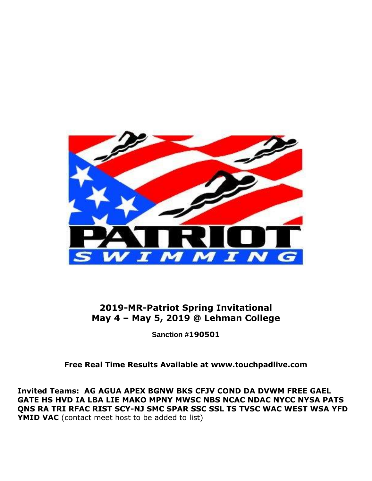

**2019-MR-Patriot Spring Invitational May 4 – May 5, 2019 @ Lehman College**

**Sanction #190501**

**Free Real Time Results Available at www.touchpadlive.com**

**Invited Teams: AG AGUA APEX BGNW BKS CFJV COND DA DVWM FREE GAEL GATE HS HVD IA LBA LIE MAKO MPNY MWSC NBS NCAC NDAC NYCC NYSA PATS QNS RA TRI RFAC RIST SCY-NJ SMC SPAR SSC SSL TS TVSC WAC WEST WSA YFD YMID VAC** (contact meet host to be added to list)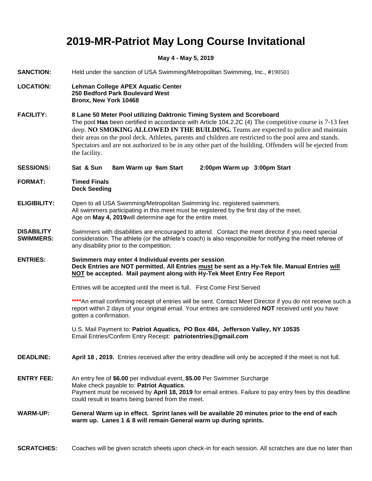### **2019-MR-Patriot May Long Course Invitational**

#### **May 4 - May 5, 2019**

| May 4 - May 5, 2019                   |                                                                                                                                                                                                                                                                                                                                                                                                                                                                                                                   |  |  |  |
|---------------------------------------|-------------------------------------------------------------------------------------------------------------------------------------------------------------------------------------------------------------------------------------------------------------------------------------------------------------------------------------------------------------------------------------------------------------------------------------------------------------------------------------------------------------------|--|--|--|
| <b>SANCTION:</b>                      | Held under the sanction of USA Swimming/Metropolitan Swimming, Inc., #190501                                                                                                                                                                                                                                                                                                                                                                                                                                      |  |  |  |
| <b>LOCATION:</b>                      | <b>Lehman College APEX Aquatic Center</b><br>250 Bedford Park Boulevard West<br>Bronx, New York 10468                                                                                                                                                                                                                                                                                                                                                                                                             |  |  |  |
| <b>FACILITY:</b>                      | 8 Lane 50 Meter Pool utilizing Daktronic Timing System and Scoreboard<br>The pool Has been certified in accordance with Article 104.2.2C (4) The competitive course is 7-13 feet<br>deep. NO SMOKING ALLOWED IN THE BUILDING. Teams are expected to police and maintain<br>their areas on the pool deck. Athletes, parents and children are restricted to the pool area and stands.<br>Spectators and are not authorized to be in any other part of the building. Offenders will be ejected from<br>the facility. |  |  |  |
| <b>SESSIONS:</b>                      | Sat & Sun<br>8am Warm up 9am Start<br>2:00pm Warm up 3:00pm Start                                                                                                                                                                                                                                                                                                                                                                                                                                                 |  |  |  |
| <b>FORMAT:</b>                        | <b>Timed Finals</b><br><b>Deck Seeding</b>                                                                                                                                                                                                                                                                                                                                                                                                                                                                        |  |  |  |
| <b>ELIGIBILITY:</b>                   | Open to all USA Swimming/Metropolitan Swimming Inc. registered swimmers.<br>All swimmers participating in this meet must be registered by the first day of the meet.<br>Age on May 4, 2019 will determine age for the entire meet.                                                                                                                                                                                                                                                                                |  |  |  |
| <b>DISABILITY</b><br><b>SWIMMERS:</b> | Swimmers with disabilities are encouraged to attend. Contact the meet director if you need special<br>consideration. The athlete (or the athlete's coach) is also responsible for notifying the meet referee of<br>any disability prior to the competition.                                                                                                                                                                                                                                                       |  |  |  |
| <b>ENTRIES:</b>                       | Swimmers may enter 4 Individual events per session,<br>Deck Entries are NOT permitted. All Entries must be sent as a Hy-Tek file. Manual Entries will<br>NOT be accepted. Mail payment along with Hy-Tek Meet Entry Fee Report                                                                                                                                                                                                                                                                                    |  |  |  |
|                                       | Entries will be accepted until the meet is full.  First Come First Served                                                                                                                                                                                                                                                                                                                                                                                                                                         |  |  |  |
|                                       | **** An email confirming receipt of entries will be sent. Contact Meet Director if you do not receive such a<br>report within 2 days of your original email. Your entries are considered <b>NOT</b> received until you have<br>gotten a confirmation.                                                                                                                                                                                                                                                             |  |  |  |
|                                       | U.S. Mail Payment to: Patriot Aquatics, PO Box 484, Jefferson Valley, NY 10535<br>Email Entries/Confirm Entry Receipt: patriotentries@gmail.com                                                                                                                                                                                                                                                                                                                                                                   |  |  |  |
| <b>DEADLINE:</b>                      | April 18, 2019. Entries received after the entry deadline will only be accepted if the meet is not full.                                                                                                                                                                                                                                                                                                                                                                                                          |  |  |  |
| <b>ENTRY FEE:</b>                     | An entry fee of \$6.00 per individual event, \$5.00 Per Swimmer Surcharge<br>Make check payable to: Patriot Aquatics.<br>Payment must be received by April 18, 2019 for email entries. Failure to pay entry fees by this deadline<br>could result in teams being barred from the meet.                                                                                                                                                                                                                            |  |  |  |
| <b>WARM-UP:</b>                       | General Warm up in effect. Sprint lanes will be available 20 minutes prior to the end of each<br>warm up. Lanes 1 & 8 will remain General warm up during sprints.                                                                                                                                                                                                                                                                                                                                                 |  |  |  |

**SCRATCHES:** Coaches will be given scratch sheets upon check-in for each session. All scratches are due no later than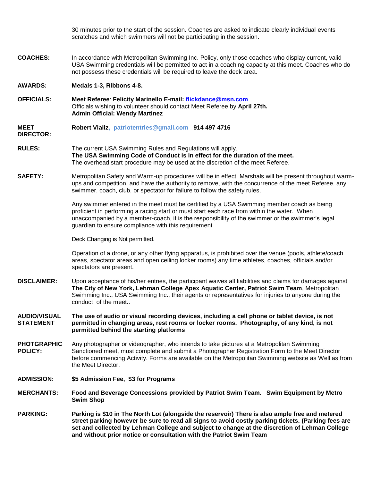30 minutes prior to the start of the session. Coaches are asked to indicate clearly individual events scratches and which swimmers will not be participating in the session. **COACHES:** In accordance with Metropolitan Swimming Inc. Policy, only those coaches who display current, valid USA Swimming credentials will be permitted to act in a coaching capacity at this meet. Coaches who do not possess these credentials will be required to leave the deck area. **AWARDS: Medals 1-3, Ribbons 4-8. OFFICIALS: Meet Referee**: **Felicity Marinello E-mail: flickdance@msn.com** Officials wishing to volunteer should contact Meet Referee by **April 27th. Admin Official: Wendy Martinez MEET DIRECTOR: Robert Vializ, patriotentries@gmail.com 914 497 4716 RULES:** The current USA Swimming Rules and Regulations will apply. **The USA Swimming Code of Conduct is in effect for the duration of the meet.** The overhead start procedure may be used at the discretion of the meet Referee. **SAFETY:** Metropolitan Safety and Warm-up procedures will be in effect. Marshals will be present throughout warmups and competition, and have the authority to remove, with the concurrence of the meet Referee, any swimmer, coach, club, or spectator for failure to follow the safety rules. Any swimmer entered in the meet must be certified by a USA Swimming member coach as being proficient in performing a racing start or must start each race from within the water. When unaccompanied by a member-coach, it is the responsibility of the swimmer or the swimmer's legal guardian to ensure compliance with this requirement Deck Changing is Not permitted. Operation of a drone, or any other flying apparatus, is prohibited over the venue (pools, athlete/coach areas, spectator areas and open ceiling locker rooms) any time athletes, coaches, officials and/or spectators are present. **DISCLAIMER:** Upon acceptance of his/her entries, the participant waives all liabilities and claims for damages against **The City of New York, Lehman College Apex Aquatic Center, Patriot Swim Team**, Metropolitan Swimming Inc., USA Swimming Inc., their agents or representatives for injuries to anyone during the conduct of the meet.. **AUDIO/VISUAL STATEMENT PHOTGRAPHIC POLICY: ADMISSION: The use of audio or visual recording devices, including a cell phone or tablet device, is not permitted in changing areas, rest rooms or locker rooms. Photography, of any kind, is not permitted behind the starting platforms**  Any photographer or videographer, who intends to take pictures at a Metropolitan Swimming Sanctioned meet, must complete and submit a Photographer Registration Form to the Meet Director before commencing Activity. Forms are available on the Metropolitan Swimming website as Well as from the Meet Director. **\$5 Admission Fee, \$3 for Programs MERCHANTS: Food and Beverage Concessions provided by Patriot Swim Team. Swim Equipment by Metro Swim Shop PARKING: Parking is \$10 in The North Lot (alongside the reservoir) There is also ample free and metered street parking however be sure to read all signs to avoid costly parking tickets. (Parking fees are set and collected by Lehman College and subject to change at the discretion of Lehman College and without prior notice or consultation with the Patriot Swim Team**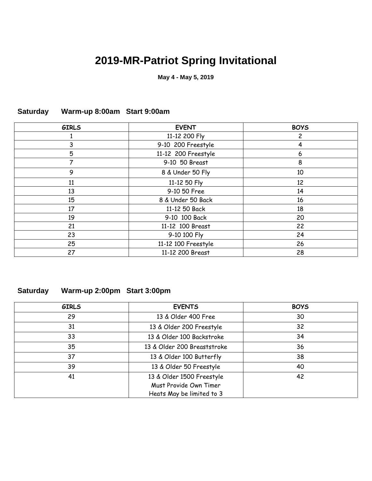# **2019-MR-Patriot Spring Invitational**

**May 4 - May 5, 2019**

| <b>GIRLS</b> | <b>EVENT</b>        | <b>BOYS</b> |
|--------------|---------------------|-------------|
|              | 11-12 200 Fly       | 2           |
| 3            | 9-10 200 Freestyle  | 4           |
| 5            | 11-12 200 Freestyle | 6           |
| 7            | 9-10 50 Breast      | 8           |
| 9            | 8 & Under 50 Fly    | 10          |
| 11           | 11-12 50 Fly        | 12          |
| 13           | 9-10 50 Free        | 14          |
| 15           | 8 & Under 50 Back   | 16          |
| 17           | 11-12 50 Back       | 18          |
| 19           | 9-10 100 Back       | 20          |
| 21           | 11-12 100 Breast    | 22          |
| 23           | 9-10 100 Fly        | 24          |
| 25           | 11-12 100 Freestyle | 26          |
| 27           | 11-12 200 Breast    | 28          |

### **Saturday Warm-up 8:00am Start 9:00am**

### **Saturday Warm-up 2:00pm Start 3:00pm**

| <b>GIRLS</b> | <b>EVENTS</b>                                                                    | <b>BOYS</b> |
|--------------|----------------------------------------------------------------------------------|-------------|
| 29           | 13 & Older 400 Free                                                              | 30          |
| 31           | 13 & Older 200 Freestyle                                                         | 32          |
| 33           | 13 & Older 100 Backstroke                                                        | 34          |
| 35           | 13 & Older 200 Breaststroke                                                      | 36          |
| 37           | 13 & Older 100 Butterfly                                                         | 38          |
| 39           | 13 & Older 50 Freestyle                                                          | 40          |
| 41           | 13 & Older 1500 Freestyle<br>Must Provide Own Timer<br>Heats May be limited to 3 | 42          |